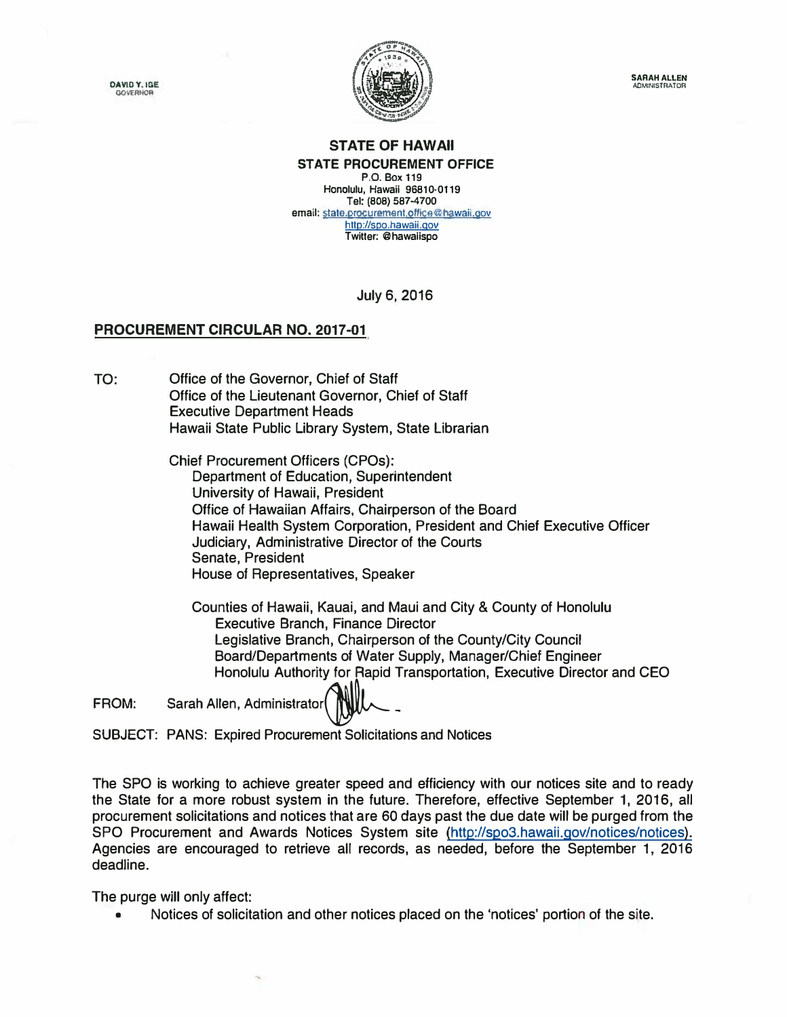**OAVID Y. IGE GOVERNOS** 



**SARAH ALLEN ADMINISTRATOR** 

## **STATE OF HAWAII STATE PROCUREMENT OFFICE P.O. Box 119**

**Honolulu, Hawaii 96810·0119 Tel: (808) 587-4700**  email: state.procurement.office@hawaii.gov http://spo.hawaii.gov **Twitter: @hawaiispo** 

July 6, 2016

## **PROCUREMENT CIRCULAR NO. 2017-01**

TO: Office of the Governor, Chief of Staff Office of the Lieutenant Governor, Chief of Staff Executive Department Heads Hawaii State Public Library System, State Librarian

> Chief Procurement Officers (CPOs): Department of Education, Superintendent University of Hawaii, President Office of Hawaiian Affairs, Chairperson of the Board Hawaii Health System Corporation, President and Chief Executive Officer Judiciary, Administrative Director of the Courts Senate, President House of Representatives, Speaker

Counties of Hawaii, Kauai, and Maui and City & County of Honolulu Executive Branch, Finance Director Legislative Branch, Chairperson of the County/City Council Board/Departments of Water Supply, Manager/Chief Engineer Honolulu Authority for Rapid Transportation, Executive Director and CEO

FROM: Sarah Allen, Administrator

SUBJECT: PANS: Expired Procurement Solicitations and Notices

The SPO is working to achieve greater speed and efficiency with our notices site and to ready the State for a more robust system in the future. Therefore, effective September 1, 2016, all procurement solicitations and notices that are 60 days past the due date will be purged from the SPO Procurement and Awards Notices System site (http://spo3.hawail.gov/notices/notices). Agencies are encouraged to retrieve all records, as needed, before the September 1, 2016 deadline.

The purge will only affect:

• Notices of solicitation and other notices placed on the 'notices' portion of the site.